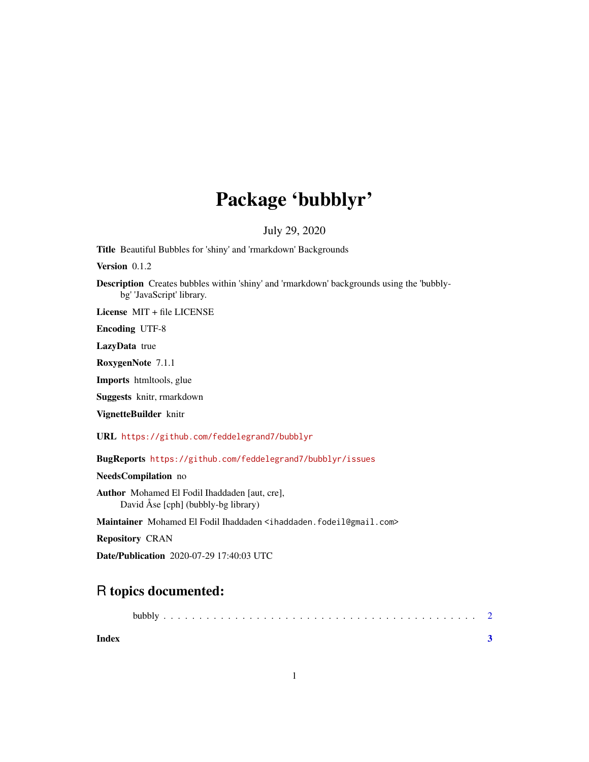# Package 'bubblyr'

### July 29, 2020

Title Beautiful Bubbles for 'shiny' and 'rmarkdown' Backgrounds

Version 0.1.2

Description Creates bubbles within 'shiny' and 'rmarkdown' backgrounds using the 'bubblybg' 'JavaScript' library.

License MIT + file LICENSE

Encoding UTF-8

LazyData true

RoxygenNote 7.1.1

Imports htmltools, glue

Suggests knitr, rmarkdown

VignetteBuilder knitr

URL <https://github.com/feddelegrand7/bubblyr>

BugReports <https://github.com/feddelegrand7/bubblyr/issues>

NeedsCompilation no

Author Mohamed El Fodil Ihaddaden [aut, cre], David Åse [cph] (bubbly-bg library)

Maintainer Mohamed El Fodil Ihaddaden <ihaddaden.fodeil@gmail.com>

Repository CRAN

Date/Publication 2020-07-29 17:40:03 UTC

## R topics documented:

|--|--|--|

**Index** [3](#page-2-0)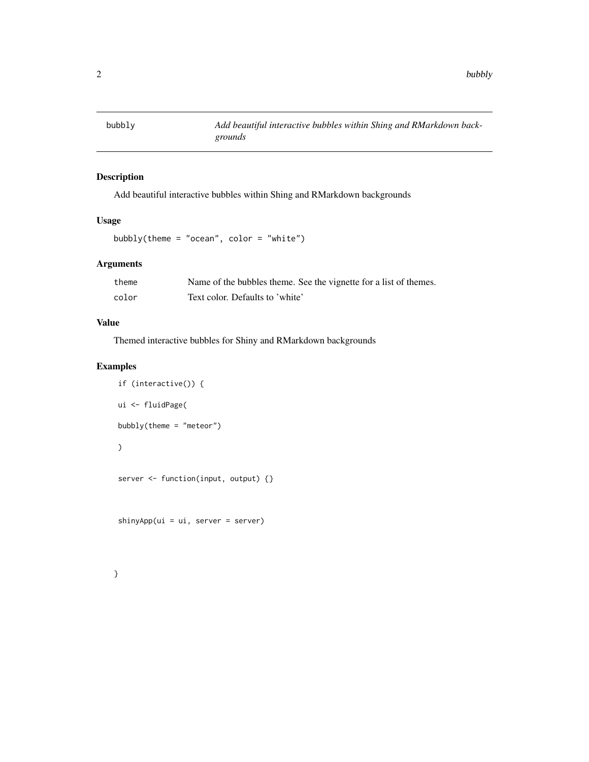<span id="page-1-0"></span>

#### Description

Add beautiful interactive bubbles within Shing and RMarkdown backgrounds

#### Usage

```
bubbly(theme = "ocean", color = "white")
```
#### Arguments

| theme | Name of the bubbles theme. See the vignette for a list of themes. |
|-------|-------------------------------------------------------------------|
| color | Text color. Defaults to 'white'                                   |

#### Value

Themed interactive bubbles for Shiny and RMarkdown backgrounds

#### Examples

```
if (interactive()) {
ui <- fluidPage(
bubbly(theme = "meteor")
\mathcal{L}server <- function(input, output) {}
```
shinyApp(ui = ui, server = server)